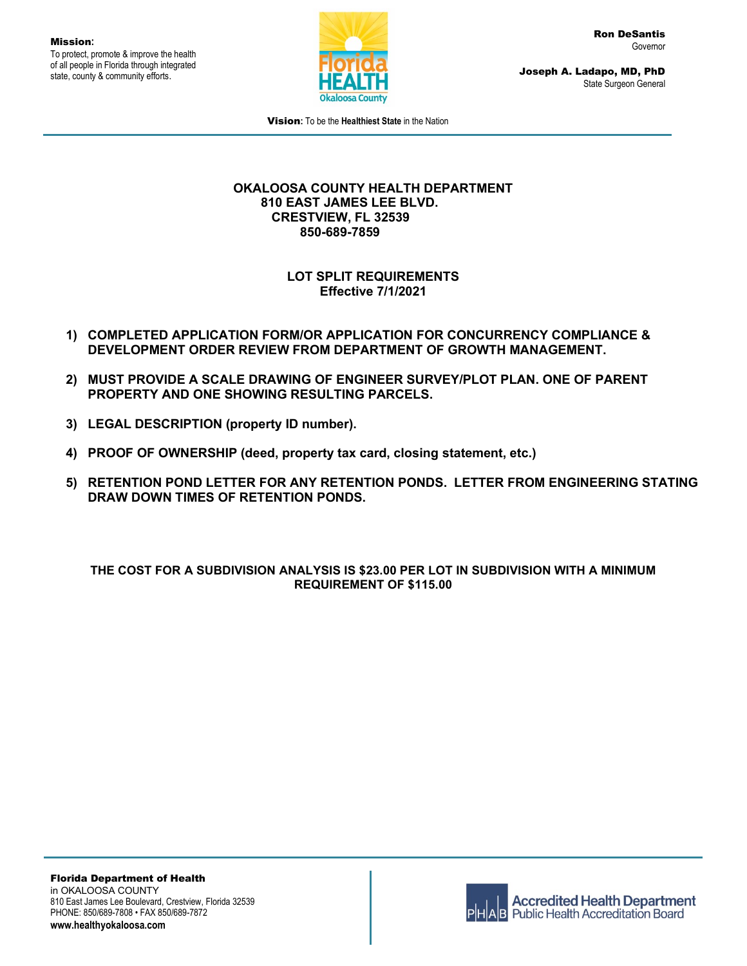Mission**:** To protect, promote & improve the health of all people in Florida through integrated state, county & community efforts.



Ron DeSantis Governor

Joseph A. Ladapo, MD, PhD State Surgeon General

Vision**:** To be the **Healthiest State** in the Nation

## **OKALOOSA COUNTY HEALTH DEPARTMENT 810 EAST JAMES LEE BLVD. CRESTVIEW, FL 32539 850-689-7859**

**LOT SPLIT REQUIREMENTS Effective 7/1/2021**

- **1) COMPLETED APPLICATION FORM/OR APPLICATION FOR CONCURRENCY COMPLIANCE & DEVELOPMENT ORDER REVIEW FROM DEPARTMENT OF GROWTH MANAGEMENT.**
- **2) MUST PROVIDE A SCALE DRAWING OF ENGINEER SURVEY/PLOT PLAN. ONE OF PARENT PROPERTY AND ONE SHOWING RESULTING PARCELS.**
- **3) LEGAL DESCRIPTION (property ID number).**
- **4) PROOF OF OWNERSHIP (deed, property tax card, closing statement, etc.)**
- **5) RETENTION POND LETTER FOR ANY RETENTION PONDS. LETTER FROM ENGINEERING STATING DRAW DOWN TIMES OF RETENTION PONDS.**

## **THE COST FOR A SUBDIVISION ANALYSIS IS \$23.00 PER LOT IN SUBDIVISION WITH A MINIMUM REQUIREMENT OF \$115.00**